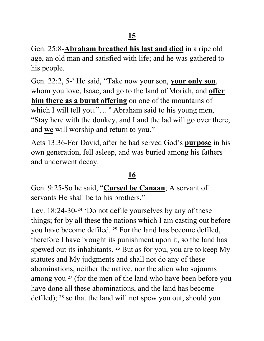Gen. 25:8-**Abraham breathed his last and died** in a ripe old age, an old man and satisfied with life; and he was gathered to his people.

Gen. 22:2, 5-<sup>2</sup> He said, "Take now your son, **your only son**, whom you love, Isaac, and go to the land of Moriah, and **offer him there as a burnt offering** on one of the mountains of which I will tell you."...<sup>5</sup> Abraham said to his young men, "Stay here with the donkey, and I and the lad will go over there; and **we** will worship and return to you."

Acts 13:36-For David, after he had served God's **purpose** in his own generation, fell asleep, and was buried among his fathers and underwent decay.

## **16**

Gen. 9:25-So he said, "**Cursed be Canaan**; A servant of servants He shall be to his brothers."

Lev. 18:24-30-<sup>24</sup> 'Do not defile yourselves by any of these things; for by all these the nations which I am casting out before you have become defiled. <sup>25</sup> For the land has become defiled, therefore I have brought its punishment upon it, so the land has spewed out its inhabitants. <sup>26</sup> But as for you, you are to keep My statutes and My judgments and shall not do any of these abominations, neither the native, nor the alien who sojourns among you <sup>27</sup> (for the men of the land who have been before you have done all these abominations, and the land has become defiled); <sup>28</sup> so that the land will not spew you out, should you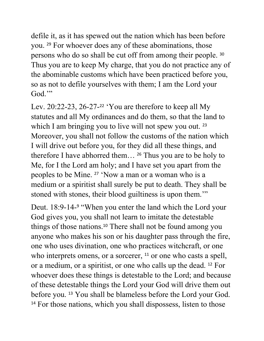defile it, as it has spewed out the nation which has been before you. <sup>29</sup> For whoever does any of these abominations, those persons who do so shall be cut off from among their people. <sup>30</sup> Thus you are to keep My charge, that you do not practice any of the abominable customs which have been practiced before you, so as not to defile yourselves with them; I am the Lord your God."

Lev. 20:22-23, 26-27-<sup>22</sup> 'You are therefore to keep all My statutes and all My ordinances and do them, so that the land to which I am bringing you to live will not spew you out. <sup>23</sup> Moreover, you shall not follow the customs of the nation which I will drive out before you, for they did all these things, and therefore I have abhorred them… <sup>26</sup> Thus you are to be holy to Me, for I the Lord am holy; and I have set you apart from the peoples to be Mine. <sup>27</sup> 'Now a man or a woman who is a medium or a spiritist shall surely be put to death. They shall be stoned with stones, their blood guiltiness is upon them."

Deut. 18:9-14-<sup>9</sup> "When you enter the land which the Lord your God gives you, you shall not learn to imitate the detestable things of those nations.<sup>10</sup> There shall not be found among you anyone who makes his son or his daughter pass through the fire, one who uses divination, one who practices witchcraft, or one who interprets omens, or a sorcerer, <sup>11</sup> or one who casts a spell, or a medium, or a spiritist, or one who calls up the dead. <sup>12</sup> For whoever does these things is detestable to the Lord; and because of these detestable things the Lord your God will drive them out before you. <sup>13</sup> You shall be blameless before the Lord your God. <sup>14</sup> For those nations, which you shall dispossess, listen to those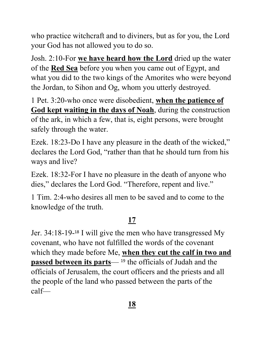who practice witchcraft and to diviners, but as for you, the Lord your God has not allowed you to do so.

Josh. 2:10-For **we have heard how the Lord** dried up the water of the **Red Sea** before you when you came out of Egypt, and what you did to the two kings of the Amorites who were beyond the Jordan, to Sihon and Og, whom you utterly destroyed.

1 Pet. 3:20-who once were disobedient, **when the patience of God kept waiting in the days of Noah**, during the construction of the ark, in which a few, that is, eight persons, were brought safely through the water.

Ezek. 18:23-Do I have any pleasure in the death of the wicked," declares the Lord God, "rather than that he should turn from his ways and live?

Ezek. 18:32-For I have no pleasure in the death of anyone who dies," declares the Lord God. "Therefore, repent and live."

1 Tim. 2:4-who desires all men to be saved and to come to the knowledge of the truth.

## **17**

Jer. 34:18-19-<sup>18</sup> I will give the men who have transgressed My covenant, who have not fulfilled the words of the covenant which they made before Me, **when they cut the calf in two and passed between its parts**— <sup>19</sup> the officials of Judah and the officials of Jerusalem, the court officers and the priests and all the people of the land who passed between the parts of the calf